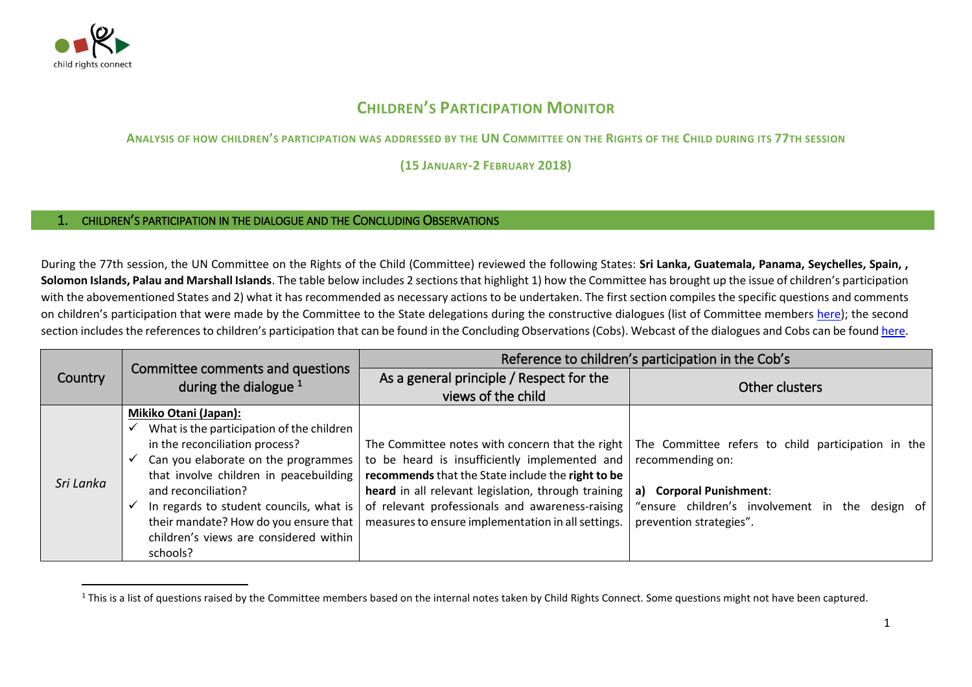

 $\overline{a}$ 

## **CHILDREN'S PARTICIPATION MONITOR**

**ANALYSIS OF HOW CHILDREN'S PARTICIPATION WAS ADDRESSED BY THE UN COMMITTEE ON THE RIGHTS OF THE CHILD DURING ITS 77TH SESSION** 

**(15 JANUARY-2 FEBRUARY 2018)**

## 1. CHILDREN'S PARTICIPATION IN THE DIALOGUE AND THE CONCLUDING OBSERVATIONS

During the 77th session, the UN Committee on the Rights of the Child (Committee) reviewed the following States: **Sri Lanka, Guatemala, Panama, Seychelles, Spain, , Solomon Islands, Palau and Marshall Islands**. The table below includes 2 sections that highlight 1) how the Committee has brought up the issue of children's participation with the abovementioned States and 2) what it has recommended as necessary actions to be undertaken. The first section compiles the specific questions and comments on children's participation that were made by the Committee to the State delegations during the constructive dialogues (list of Committee members [here\)](http://www.ohchr.org/EN/HRBodies/CRC/Pages/Membership.aspx); the second section includes the references to children's participation that can be found in the Concluding Observations (Cobs). Webcast of the dialogues and Cobs can be foun[d here.](http://tbinternet.ohchr.org/_layouts/treatybodyexternal/SessionDetails1.aspx?SessionID=1143&Lang=en)

| <b>Country</b> | Committee comments and questions<br>during the dialogue $1$                                                                                                                                                                                                                                      | Reference to children's participation in the Cob's                                                                                                                                                                                                                 |                                                                                                                                                                                                                                         |
|----------------|--------------------------------------------------------------------------------------------------------------------------------------------------------------------------------------------------------------------------------------------------------------------------------------------------|--------------------------------------------------------------------------------------------------------------------------------------------------------------------------------------------------------------------------------------------------------------------|-----------------------------------------------------------------------------------------------------------------------------------------------------------------------------------------------------------------------------------------|
|                |                                                                                                                                                                                                                                                                                                  | As a general principle / Respect for the                                                                                                                                                                                                                           | Other clusters                                                                                                                                                                                                                          |
|                |                                                                                                                                                                                                                                                                                                  | views of the child                                                                                                                                                                                                                                                 |                                                                                                                                                                                                                                         |
| Sri Lanka      | Mikiko Otani (Japan):<br>What is the participation of the children<br>in the reconciliation process?<br>Can you elaborate on the programmes<br>that involve children in peacebuilding<br>and reconciliation?<br>In regards to student councils, what is<br>their mandate? How do you ensure that | to be heard is insufficiently implemented and<br>recommends that the State include the right to be<br>heard in all relevant legislation, through training<br>of relevant professionals and awareness-raising<br>measures to ensure implementation in all settings. | The Committee notes with concern that the right $\vert$ The Committee refers to child participation in the<br>recommending on:<br>a) Corporal Punishment:<br>"ensure children's involvement in the design of<br>prevention strategies". |
|                | children's views are considered within<br>schools?                                                                                                                                                                                                                                               |                                                                                                                                                                                                                                                                    |                                                                                                                                                                                                                                         |

<sup>&</sup>lt;sup>1</sup> This is a list of questions raised by the Committee members based on the internal notes taken by Child Rights Connect. Some questions might not have been captured.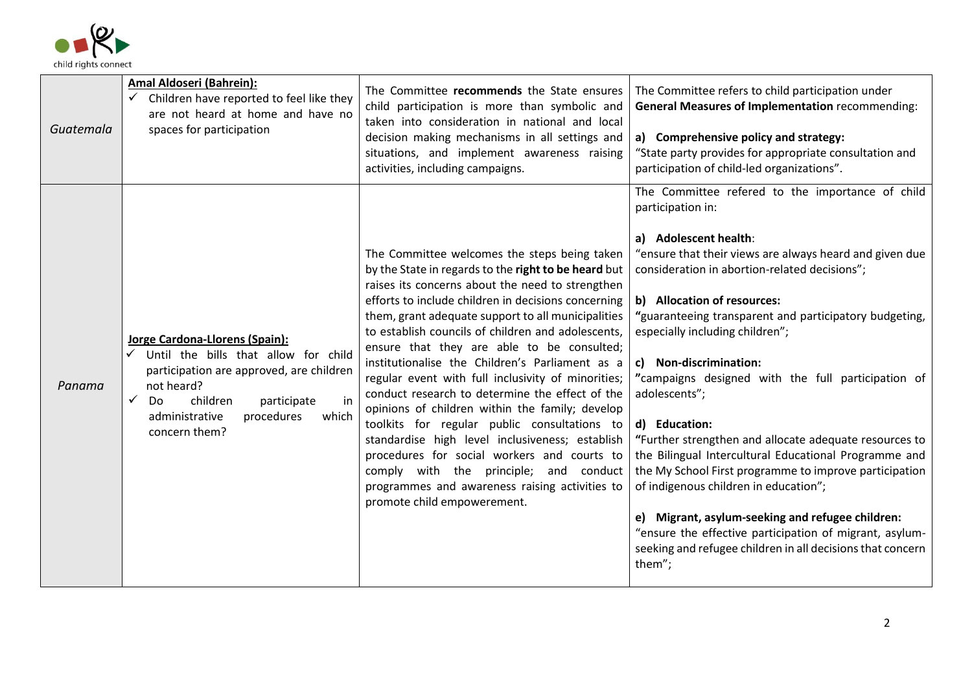

| Guatemala | Amal Aldoseri (Bahrein):<br>Children have reported to feel like they<br>are not heard at home and have no<br>spaces for participation                                                                                                       | The Committee recommends the State ensures<br>child participation is more than symbolic and<br>taken into consideration in national and local<br>decision making mechanisms in all settings and<br>situations, and implement awareness raising<br>activities, including campaigns.                                                                                                                                                                                                                                                                                                                                                                                                                                                                                                                                                                                    | The Committee refers to child participation under<br><b>General Measures of Implementation recommending:</b><br>a) Comprehensive policy and strategy:<br>"State party provides for appropriate consultation and<br>participation of child-led organizations".                                                                                                                                                                                                                                                                                                                                                                                                                                                                                                                                                                                                            |
|-----------|---------------------------------------------------------------------------------------------------------------------------------------------------------------------------------------------------------------------------------------------|-----------------------------------------------------------------------------------------------------------------------------------------------------------------------------------------------------------------------------------------------------------------------------------------------------------------------------------------------------------------------------------------------------------------------------------------------------------------------------------------------------------------------------------------------------------------------------------------------------------------------------------------------------------------------------------------------------------------------------------------------------------------------------------------------------------------------------------------------------------------------|--------------------------------------------------------------------------------------------------------------------------------------------------------------------------------------------------------------------------------------------------------------------------------------------------------------------------------------------------------------------------------------------------------------------------------------------------------------------------------------------------------------------------------------------------------------------------------------------------------------------------------------------------------------------------------------------------------------------------------------------------------------------------------------------------------------------------------------------------------------------------|
| Panama    | Jorge Cardona-Llorens (Spain):<br>Until the bills that allow for child<br>✓<br>participation are approved, are children<br>not heard?<br>children<br>✓<br>participate<br>Do<br>in<br>administrative<br>procedures<br>which<br>concern them? | The Committee welcomes the steps being taken<br>by the State in regards to the right to be heard but<br>raises its concerns about the need to strengthen<br>efforts to include children in decisions concerning<br>them, grant adequate support to all municipalities<br>to establish councils of children and adolescents,<br>ensure that they are able to be consulted;<br>institutionalise the Children's Parliament as a<br>regular event with full inclusivity of minorities;<br>conduct research to determine the effect of the<br>opinions of children within the family; develop<br>toolkits for regular public consultations to<br>standardise high level inclusiveness; establish<br>procedures for social workers and courts to<br>comply with the principle; and conduct<br>programmes and awareness raising activities to<br>promote child empowerement. | The Committee refered to the importance of child<br>participation in:<br>a) Adolescent health:<br>"ensure that their views are always heard and given due<br>consideration in abortion-related decisions";<br>b) Allocation of resources:<br>"guaranteeing transparent and participatory budgeting,<br>especially including children";<br>c) Non-discrimination:<br>"campaigns designed with the full participation of<br>adolescents";<br>d) Education:<br>"Further strengthen and allocate adequate resources to<br>the Bilingual Intercultural Educational Programme and<br>the My School First programme to improve participation<br>of indigenous children in education";<br>Migrant, asylum-seeking and refugee children:<br>e)<br>"ensure the effective participation of migrant, asylum-<br>seeking and refugee children in all decisions that concern<br>them"; |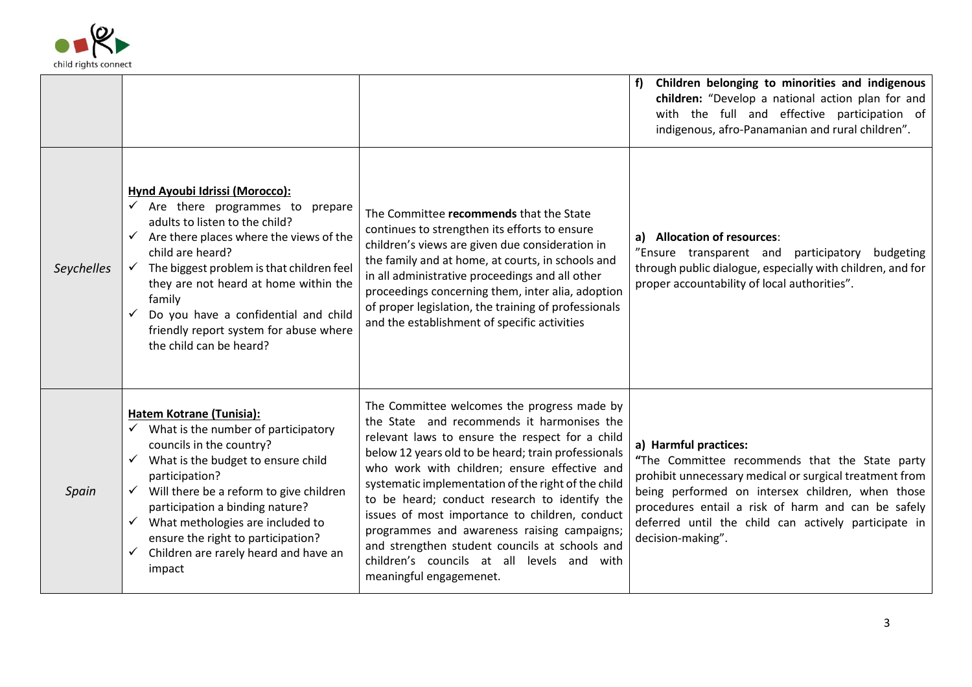

|            |                                                                                                                                                                                                                                                                                                                                                                                                           |                                                                                                                                                                                                                                                                                                                                                                                                                                                                                                                                                                                         | Children belonging to minorities and indigenous<br>f<br>children: "Develop a national action plan for and<br>with the full and effective participation of<br>indigenous, afro-Panamanian and rural children".                                                                                                             |
|------------|-----------------------------------------------------------------------------------------------------------------------------------------------------------------------------------------------------------------------------------------------------------------------------------------------------------------------------------------------------------------------------------------------------------|-----------------------------------------------------------------------------------------------------------------------------------------------------------------------------------------------------------------------------------------------------------------------------------------------------------------------------------------------------------------------------------------------------------------------------------------------------------------------------------------------------------------------------------------------------------------------------------------|---------------------------------------------------------------------------------------------------------------------------------------------------------------------------------------------------------------------------------------------------------------------------------------------------------------------------|
| Seychelles | Hynd Ayoubi Idrissi (Morocco):<br>$\checkmark$ Are there programmes to prepare<br>adults to listen to the child?<br>$\checkmark$ Are there places where the views of the<br>child are heard?<br>The biggest problem is that children feel<br>they are not heard at home within the<br>family<br>Do you have a confidential and child<br>friendly report system for abuse where<br>the child can be heard? | The Committee recommends that the State<br>continues to strengthen its efforts to ensure<br>children's views are given due consideration in<br>the family and at home, at courts, in schools and<br>in all administrative proceedings and all other<br>proceedings concerning them, inter alia, adoption<br>of proper legislation, the training of professionals<br>and the establishment of specific activities                                                                                                                                                                        | a) Allocation of resources:<br>"Ensure transparent and participatory<br>budgeting<br>through public dialogue, especially with children, and for<br>proper accountability of local authorities".                                                                                                                           |
| Spain      | Hatem Kotrane (Tunisia):<br>What is the number of participatory<br>councils in the country?<br>What is the budget to ensure child<br>participation?<br>Will there be a reform to give children<br>participation a binding nature?<br>What methologies are included to<br>ensure the right to participation?<br>Children are rarely heard and have an<br>$\checkmark$<br>impact                            | The Committee welcomes the progress made by<br>the State and recommends it harmonises the<br>relevant laws to ensure the respect for a child<br>below 12 years old to be heard; train professionals<br>who work with children; ensure effective and<br>systematic implementation of the right of the child<br>to be heard; conduct research to identify the<br>issues of most importance to children, conduct<br>programmes and awareness raising campaigns;<br>and strengthen student councils at schools and<br>children's councils at all levels and with<br>meaningful engagemenet. | a) Harmful practices:<br>"The Committee recommends that the State party<br>prohibit unnecessary medical or surgical treatment from<br>being performed on intersex children, when those<br>procedures entail a risk of harm and can be safely<br>deferred until the child can actively participate in<br>decision-making". |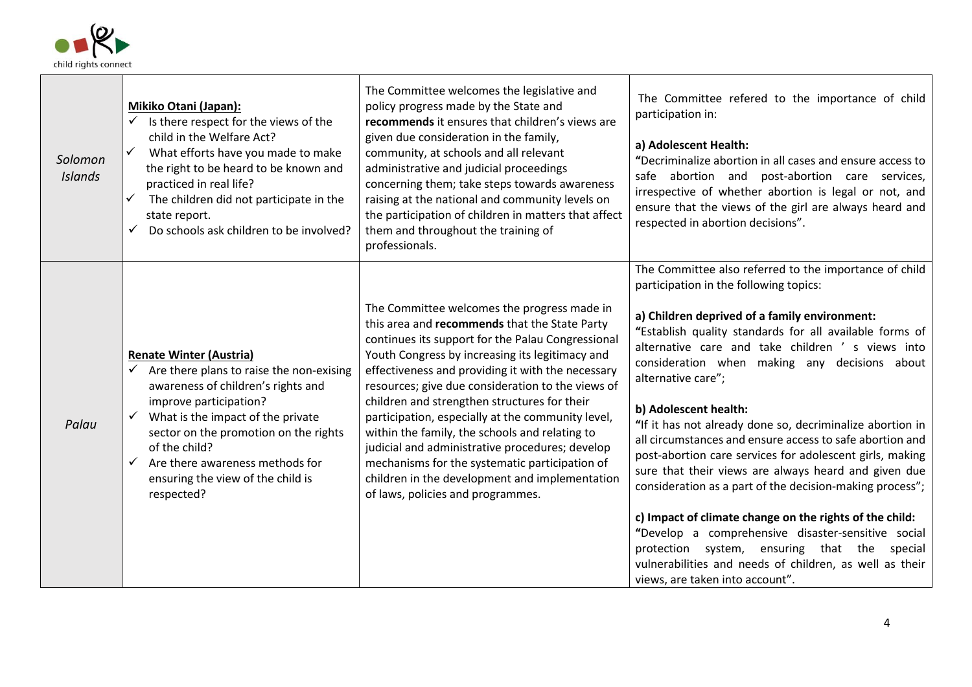

| Solomon<br><b>Islands</b> | Mikiko Otani (Japan):<br>Is there respect for the views of the<br>child in the Welfare Act?<br>What efforts have you made to make<br>$\checkmark$<br>the right to be heard to be known and<br>practiced in real life?<br>The children did not participate in the<br>$\checkmark$<br>state report.<br>Do schools ask children to be involved?<br>$\checkmark$ | The Committee welcomes the legislative and<br>policy progress made by the State and<br>recommends it ensures that children's views are<br>given due consideration in the family,<br>community, at schools and all relevant<br>administrative and judicial proceedings<br>concerning them; take steps towards awareness<br>raising at the national and community levels on<br>the participation of children in matters that affect<br>them and throughout the training of<br>professionals.                                                                                                                                                                        | The Committee refered to the importance of child<br>participation in:<br>a) Adolescent Health:<br>"Decriminalize abortion in all cases and ensure access to<br>safe abortion and post-abortion care services,<br>irrespective of whether abortion is legal or not, and<br>ensure that the views of the girl are always heard and<br>respected in abortion decisions".                                                                                                                                                                                                                                                                                                                                                                                                                                                                                                                                                                       |
|---------------------------|--------------------------------------------------------------------------------------------------------------------------------------------------------------------------------------------------------------------------------------------------------------------------------------------------------------------------------------------------------------|-------------------------------------------------------------------------------------------------------------------------------------------------------------------------------------------------------------------------------------------------------------------------------------------------------------------------------------------------------------------------------------------------------------------------------------------------------------------------------------------------------------------------------------------------------------------------------------------------------------------------------------------------------------------|---------------------------------------------------------------------------------------------------------------------------------------------------------------------------------------------------------------------------------------------------------------------------------------------------------------------------------------------------------------------------------------------------------------------------------------------------------------------------------------------------------------------------------------------------------------------------------------------------------------------------------------------------------------------------------------------------------------------------------------------------------------------------------------------------------------------------------------------------------------------------------------------------------------------------------------------|
| Palau                     | <b>Renate Winter (Austria)</b><br>Are there plans to raise the non-exising<br>awareness of children's rights and<br>improve participation?<br>What is the impact of the private<br>✓<br>sector on the promotion on the rights<br>of the child?<br>Are there awareness methods for<br>$\checkmark$<br>ensuring the view of the child is<br>respected?         | The Committee welcomes the progress made in<br>this area and recommends that the State Party<br>continues its support for the Palau Congressional<br>Youth Congress by increasing its legitimacy and<br>effectiveness and providing it with the necessary<br>resources; give due consideration to the views of<br>children and strengthen structures for their<br>participation, especially at the community level,<br>within the family, the schools and relating to<br>judicial and administrative procedures; develop<br>mechanisms for the systematic participation of<br>children in the development and implementation<br>of laws, policies and programmes. | The Committee also referred to the importance of child<br>participation in the following topics:<br>a) Children deprived of a family environment:<br>"Establish quality standards for all available forms of<br>alternative care and take children 's views into<br>consideration when making any decisions about<br>alternative care";<br>b) Adolescent health:<br>"If it has not already done so, decriminalize abortion in<br>all circumstances and ensure access to safe abortion and<br>post-abortion care services for adolescent girls, making<br>sure that their views are always heard and given due<br>consideration as a part of the decision-making process";<br>c) Impact of climate change on the rights of the child:<br>"Develop a comprehensive disaster-sensitive social<br>protection system, ensuring that the<br>special<br>vulnerabilities and needs of children, as well as their<br>views, are taken into account". |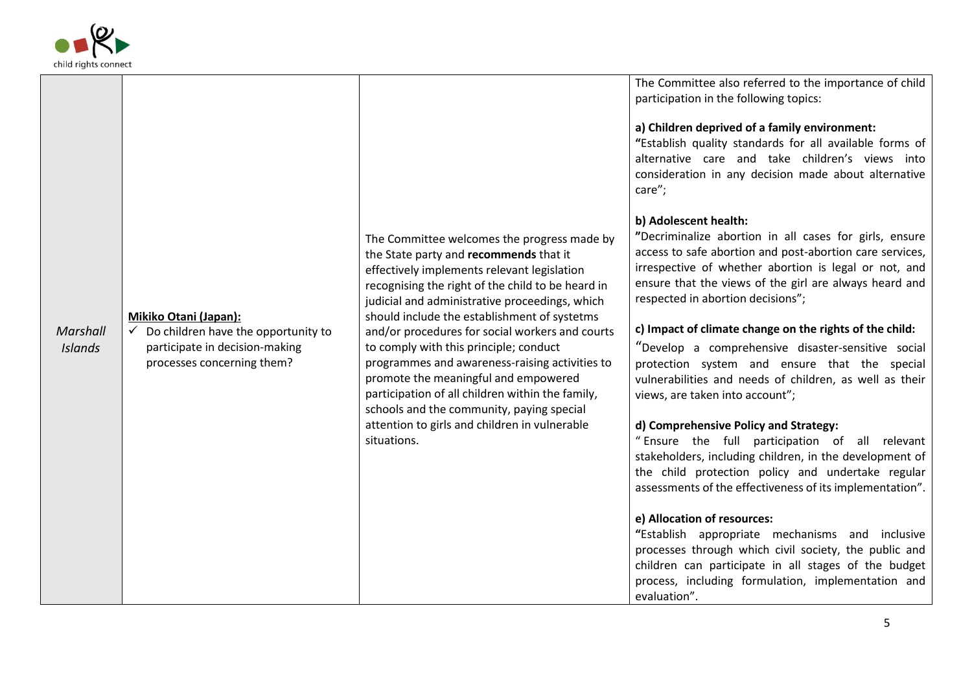

|                            |                                                                                                                              |                                                                                                                                                                                                                                                                                                                                                                                                                                                                                                                                                                                                                                      | The Committee also referred to the importance of child<br>participation in the following topics:<br>a) Children deprived of a family environment:<br>"Establish quality standards for all available forms of<br>alternative care and take children's views into<br>consideration in any decision made about alternative<br>care";                                                                                                                                                                                                                                                                            |
|----------------------------|------------------------------------------------------------------------------------------------------------------------------|--------------------------------------------------------------------------------------------------------------------------------------------------------------------------------------------------------------------------------------------------------------------------------------------------------------------------------------------------------------------------------------------------------------------------------------------------------------------------------------------------------------------------------------------------------------------------------------------------------------------------------------|--------------------------------------------------------------------------------------------------------------------------------------------------------------------------------------------------------------------------------------------------------------------------------------------------------------------------------------------------------------------------------------------------------------------------------------------------------------------------------------------------------------------------------------------------------------------------------------------------------------|
| Marshall<br><b>Islands</b> | Mikiko Otani (Japan):<br>Do children have the opportunity to<br>participate in decision-making<br>processes concerning them? | The Committee welcomes the progress made by<br>the State party and recommends that it<br>effectively implements relevant legislation<br>recognising the right of the child to be heard in<br>judicial and administrative proceedings, which<br>should include the establishment of systetms<br>and/or procedures for social workers and courts<br>to comply with this principle; conduct<br>programmes and awareness-raising activities to<br>promote the meaningful and empowered<br>participation of all children within the family,<br>schools and the community, paying special<br>attention to girls and children in vulnerable | b) Adolescent health:<br>"Decriminalize abortion in all cases for girls, ensure<br>access to safe abortion and post-abortion care services,<br>irrespective of whether abortion is legal or not, and<br>ensure that the views of the girl are always heard and<br>respected in abortion decisions";<br>c) Impact of climate change on the rights of the child:<br>"Develop a comprehensive disaster-sensitive social<br>protection system and ensure that the special<br>vulnerabilities and needs of children, as well as their<br>views, are taken into account";<br>d) Comprehensive Policy and Strategy: |
|                            |                                                                                                                              | situations.                                                                                                                                                                                                                                                                                                                                                                                                                                                                                                                                                                                                                          | "Ensure the full participation of all relevant<br>stakeholders, including children, in the development of<br>the child protection policy and undertake regular<br>assessments of the effectiveness of its implementation".<br>e) Allocation of resources:<br>"Establish appropriate mechanisms and inclusive<br>processes through which civil society, the public and<br>children can participate in all stages of the budget<br>process, including formulation, implementation and<br>evaluation".                                                                                                          |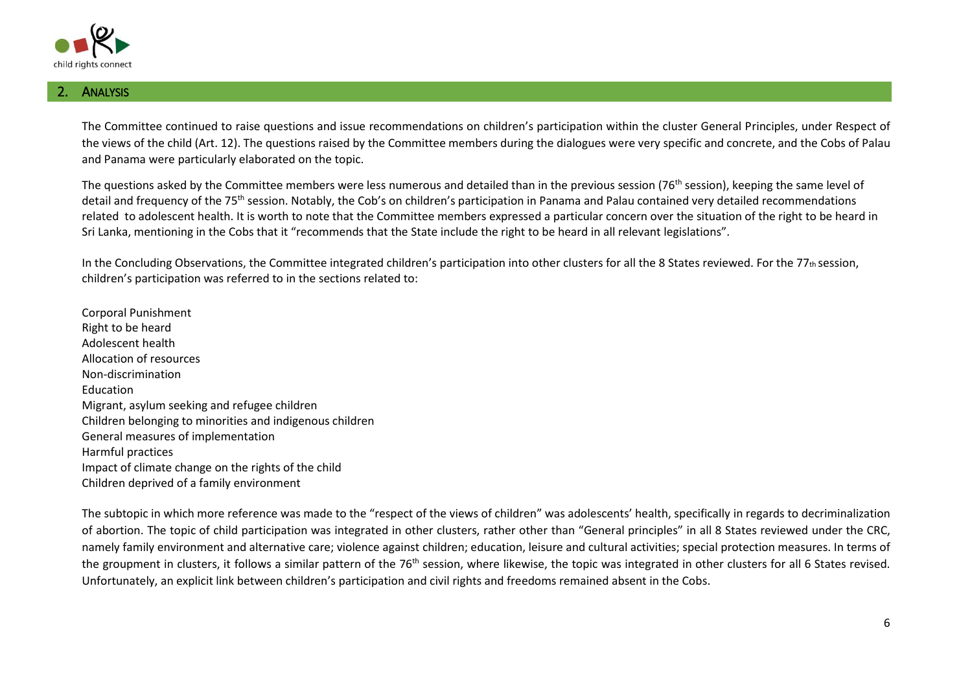

## **ANALYSIS**

The Committee continued to raise questions and issue recommendations on children's participation within the cluster General Principles, under Respect of the views of the child (Art. 12). The questions raised by the Committee members during the dialogues were very specific and concrete, and the Cobs of Palau and Panama were particularly elaborated on the topic.

The questions asked by the Committee members were less numerous and detailed than in the previous session (76<sup>th</sup> session), keeping the same level of detail and frequency of the 75<sup>th</sup> session. Notably, the Cob's on children's participation in Panama and Palau contained very detailed recommendations related to adolescent health. It is worth to note that the Committee members expressed a particular concern over the situation of the right to be heard in Sri Lanka, mentioning in the Cobs that it "recommends that the State include the right to be heard in all relevant legislations".

In the Concluding Observations, the Committee integrated children's participation into other clusters for all the 8 States reviewed. For the 77th session, children's participation was referred to in the sections related to:

Corporal Punishment Right to be heard Adolescent health Allocation of resources Non-discrimination Education Migrant, asylum seeking and refugee children Children belonging to minorities and indigenous children General measures of implementation Harmful practices Impact of climate change on the rights of the child Children deprived of a family environment

The subtopic in which more reference was made to the "respect of the views of children" was adolescents' health, specifically in regards to decriminalization of abortion. The topic of child participation was integrated in other clusters, rather other than "General principles" in all 8 States reviewed under the CRC, namely family environment and alternative care; violence against children; education, leisure and cultural activities; special protection measures. In terms of the groupment in clusters, it follows a similar pattern of the 76<sup>th</sup> session, where likewise, the topic was integrated in other clusters for all 6 States revised. Unfortunately, an explicit link between children's participation and civil rights and freedoms remained absent in the Cobs.